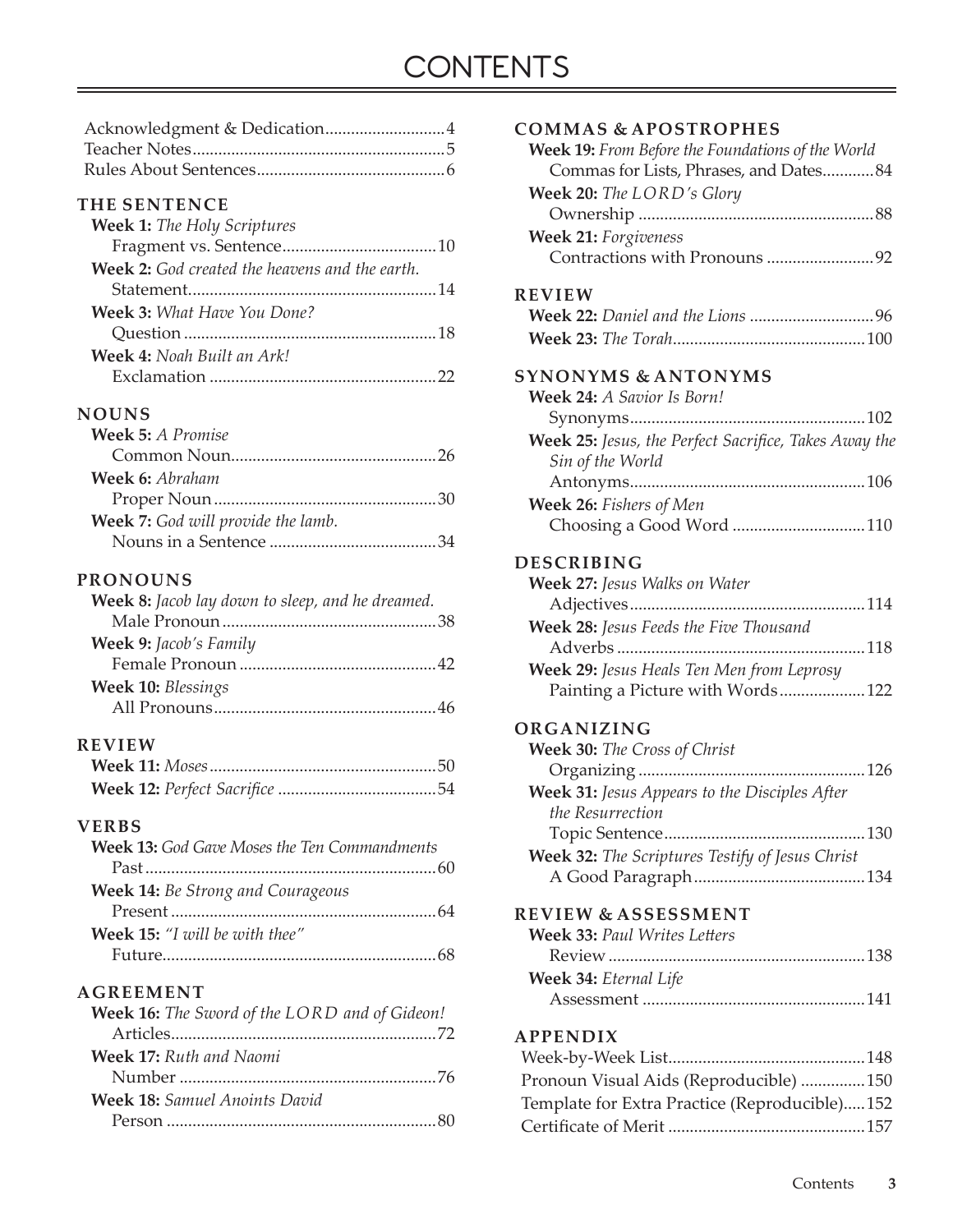# **CONTENTS**

#### **THE SENTENCE**

| <b>Week 1:</b> The Holy Scriptures                    |  |
|-------------------------------------------------------|--|
|                                                       |  |
| <b>Week 2:</b> God created the heavens and the earth. |  |
|                                                       |  |
| <b>Week 3:</b> What Have You Done?                    |  |
|                                                       |  |
| <b>Week 4:</b> Noah Built an Ark!                     |  |
|                                                       |  |

#### **NOUNS**

| <b>Week 5:</b> A Promise                  |  |
|-------------------------------------------|--|
|                                           |  |
| <b>Week 6:</b> Abraham                    |  |
|                                           |  |
| <b>Week 7:</b> God will provide the lamb. |  |
|                                           |  |

#### **PRONOUNS**

| <b>Week 8:</b> Jacob lay down to sleep, and he dreamed. |  |
|---------------------------------------------------------|--|
|                                                         |  |
| Week 9: Jacob's Family                                  |  |
|                                                         |  |
| Week 10: Blessings                                      |  |
|                                                         |  |
|                                                         |  |

#### **REVIEW**

#### **VERBS**

| <b>Week 13:</b> God Gave Moses the Ten Commandments |
|-----------------------------------------------------|
|                                                     |
| Week 14: Be Strong and Courageous                   |
|                                                     |
| Week 15: "I will be with thee"                      |
|                                                     |

#### **AGREEMENT**

| Week 16: The Sword of the LORD and of Gideon! |
|-----------------------------------------------|
|                                               |
| <b>Week 17:</b> Ruth and Naomi                |
|                                               |
| <b>Week 18:</b> Samuel Anoints David          |
|                                               |

| Week 19: From Before the Foundations of the World     |
|-------------------------------------------------------|
| Commas for Lists, Phrases, and Dates84                |
| Week 20: The LORD's Glory                             |
|                                                       |
| <b>Week 21:</b> Forgiveness                           |
| Contractions with Pronouns 92                         |
|                                                       |
| <b>REVIEW</b>                                         |
|                                                       |
|                                                       |
|                                                       |
| <b>SYNONYMS &amp; ANTONYMS</b>                        |
| Week 24: A Savior Is Born!                            |
|                                                       |
| Week 25: Jesus, the Perfect Sacrifice, Takes Away the |
| Sin of the World                                      |
|                                                       |
| Week 26: Fishers of Men                               |
| Choosing a Good Word 110                              |
| <b>DESCRIBING</b>                                     |
| Week 27: Jesus Walks on Water                         |
|                                                       |
| Week 28: Jesus Feeds the Five Thousand                |
|                                                       |
|                                                       |
| Week 29: Jesus Heals Ten Men from Leprosy             |
| Painting a Picture with Words 122                     |
| ORGANIZING                                            |
| Week 30: The Cross of Christ                          |
|                                                       |
| Week 31: Jesus Appears to the Disciples After         |
| the Resurrection                                      |
| 130<br>Topic Sentence                                 |
| Week 32: The Scriptures Testify of Jesus Christ       |
|                                                       |
|                                                       |
| <b>REVIEW &amp; ASSESSMENT</b>                        |
| <b>Week 33: Paul Writes Letters</b>                   |
|                                                       |
| Week 34: Eternal Life                                 |
|                                                       |
|                                                       |
| <b>APPENDIX</b>                                       |

**COMMAS & APOSTROPHES**

| Pronoun Visual Aids (Reproducible) 150        |  |
|-----------------------------------------------|--|
| Template for Extra Practice (Reproducible)152 |  |
|                                               |  |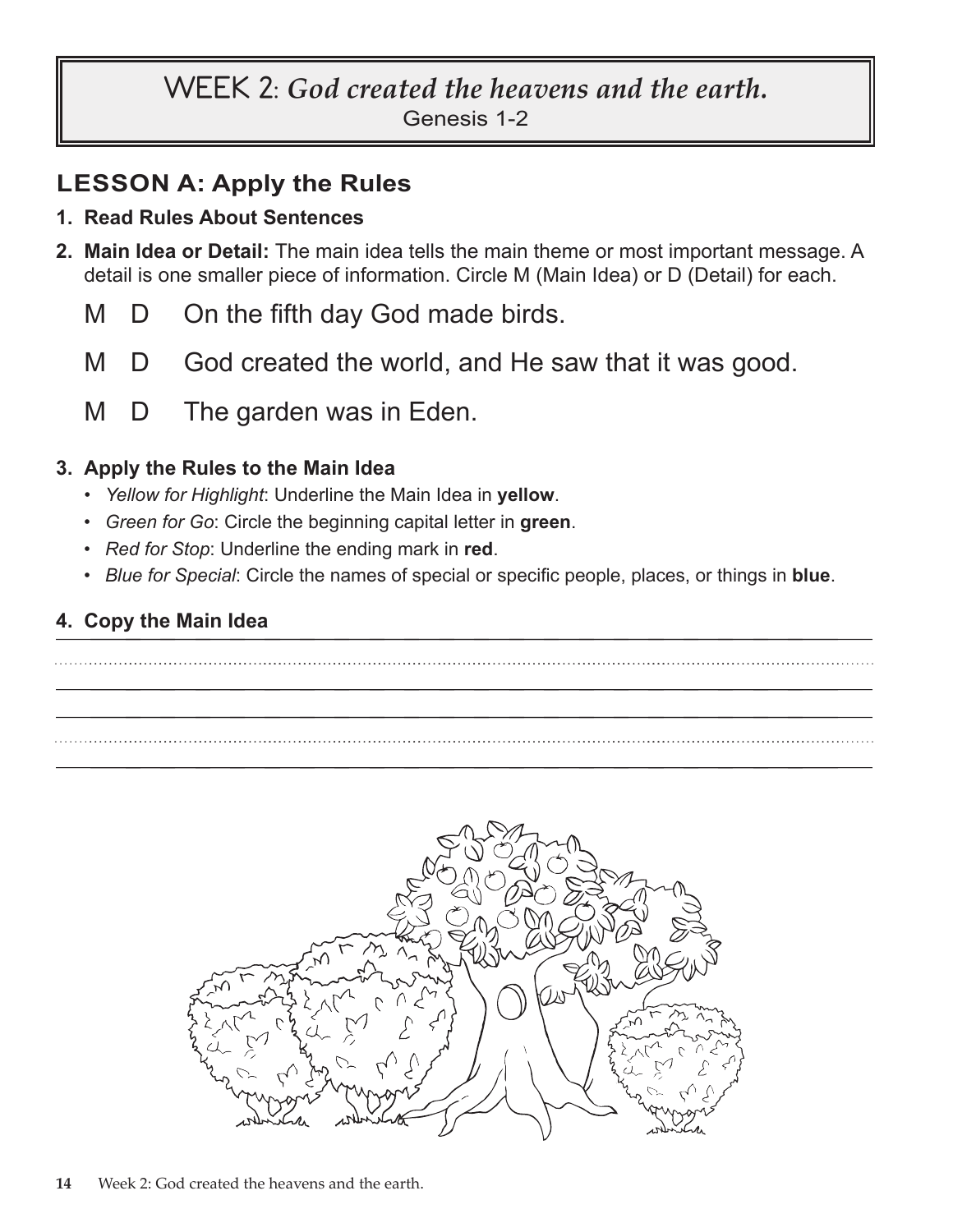# **WEEK 2:** *God created the heavens and the earth.*

Genesis 1-2

# **LESSON A: Apply the Rules**

#### **1. Read Rules About Sentences**

- **2. Main Idea or Detail:** The main idea tells the main theme or most important message. A detail is one smaller piece of information. Circle M (Main Idea) or D (Detail) for each.
	- M D On the fifth day God made birds.
	- M D God created the world, and He saw that it was good.
	- M D The garden was in Eden.

### **3. Apply the Rules to the Main Idea**

- *Yellow for Highlight*: Underline the Main Idea in **yellow**.
- *Green for Go*: Circle the beginning capital letter in **green**.
- *Red for Stop*: Underline the ending mark in **red**.
- *Blue for Special*: Circle the names of special or specific people, places, or things in **blue**.

### **4. Copy the Main Idea**



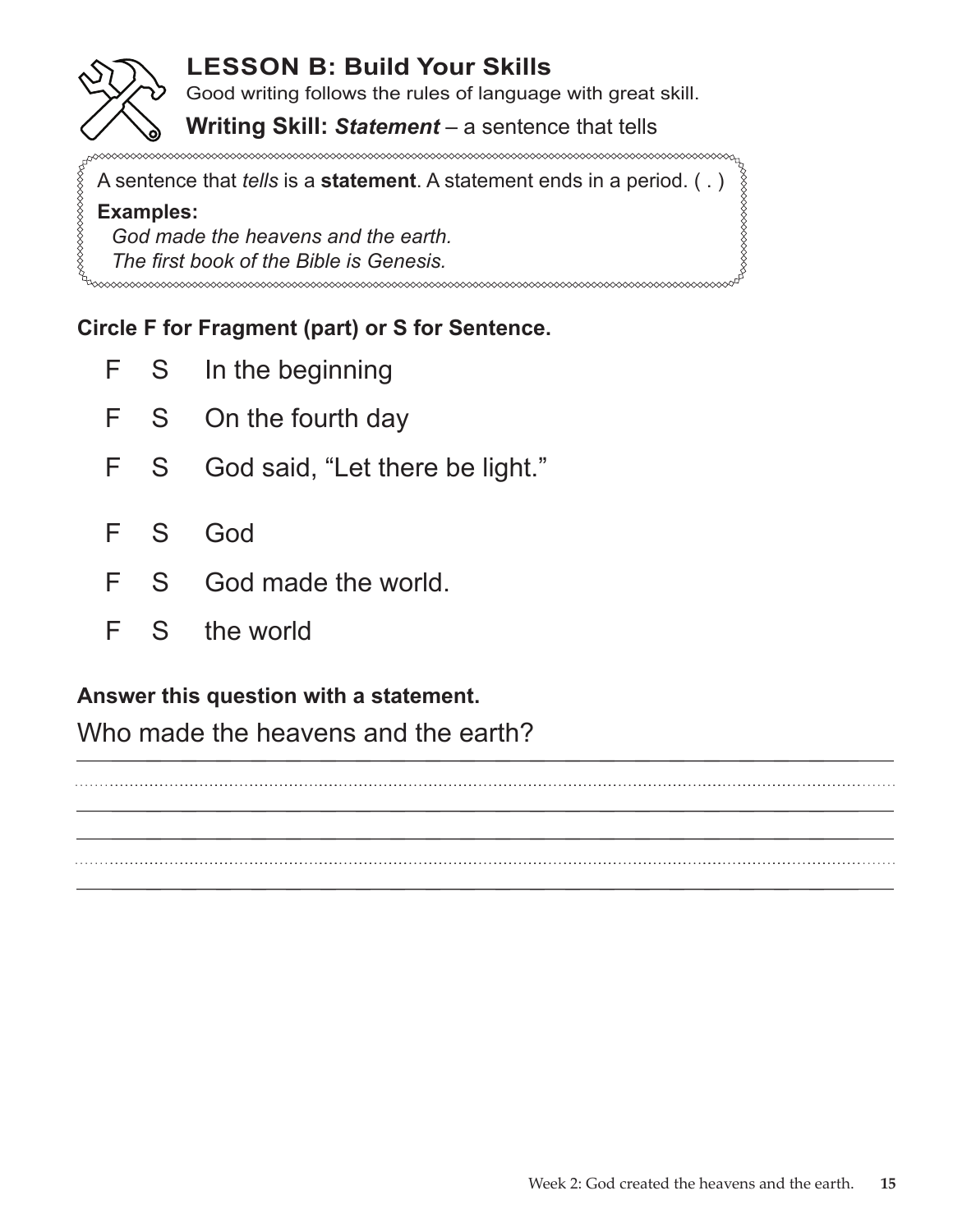# **LESSON B: Build Your Skills**

Good writing follows the rules of language with great skill.

### **Writing Skill:** *Statement* – a sentence that tells

A sentence that *tells* is a **statement**. A statement ends in a period. ( . )

#### **Examples:**

*God made the heavens and the earth. The first book of the Bible is Genesis.*

# **Circle F for Fragment (part) or S for Sentence.**

- F S In the beginning
- F S On the fourth day
- F S God said, "Let there be light."
- F S God
- F S God made the world.
- F S the world

## **Answer this question with a statement.**

Who made the heavens and the earth?

\_\_\_\_\_\_\_\_\_\_\_\_\_\_\_\_\_\_\_\_\_\_ \_\_\_\_\_\_\_\_\_\_\_\_\_\_\_\_\_\_\_\_\_\_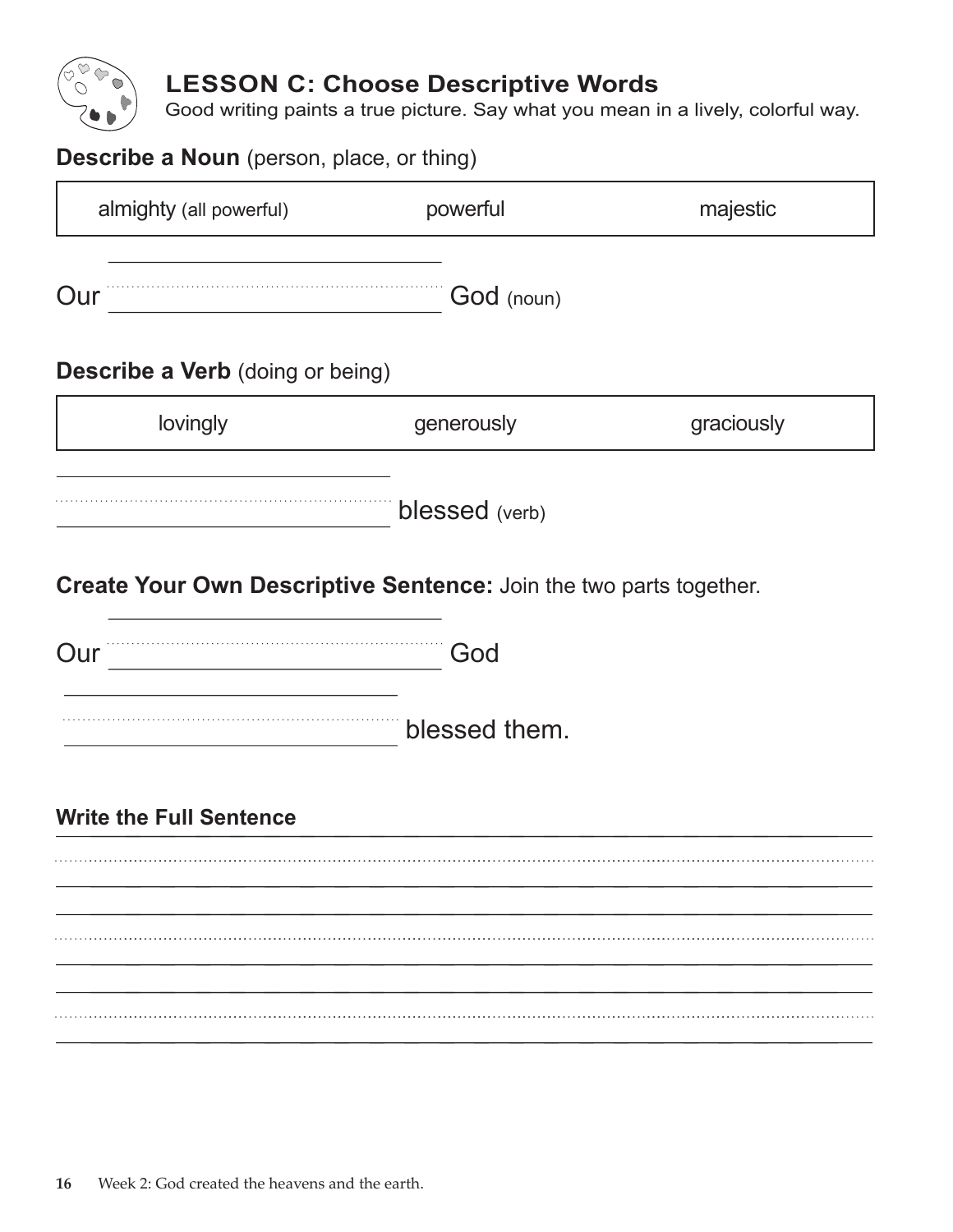

# **LESSON C: Choose Descriptive Words**

Good writing paints a true picture. Say what you mean in a lively, colorful way.

| <b>Describe a Noun</b> (person, place, or thing)                                       |                       |            |
|----------------------------------------------------------------------------------------|-----------------------|------------|
| almighty (all powerful)                                                                | powerful              | majestic   |
| Our                                                                                    | God (noun)            |            |
| <b>Describe a Verb</b> (doing or being)                                                |                       |            |
| lovingly                                                                               | generously            | graciously |
| Create Your Own Descriptive Sentence: Join the two parts together.<br>Our <sup>"</sup> | blessed (verb)<br>God |            |
|                                                                                        | blessed them.         |            |
| <b>Write the Full Sentence</b>                                                         |                       |            |
|                                                                                        |                       |            |
|                                                                                        |                       |            |